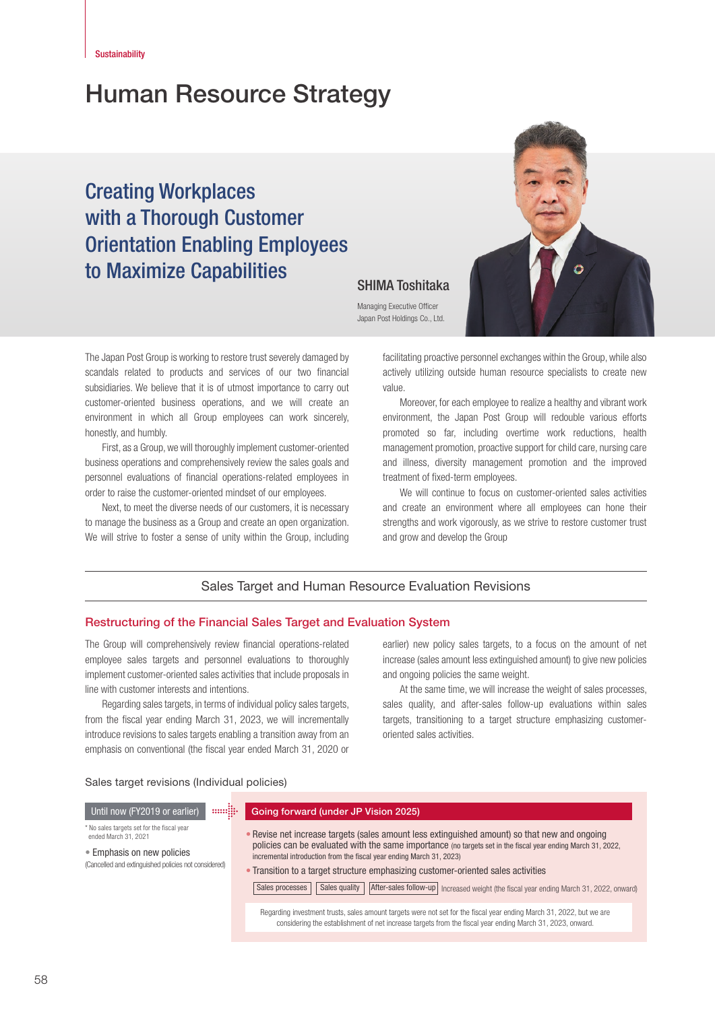# Human Resource Strategy

# Creating Workplaces with a Thorough Customer Orientation Enabling Employees to Maximize Capabilities<br>
SHIMA Toshitaka



Managing Executive Officer Japan Post Holdings Co., Ltd.

The Japan Post Group is working to restore trust severely damaged by scandals related to products and services of our two financial subsidiaries. We believe that it is of utmost importance to carry out customer-oriented business operations, and we will create an environment in which all Group employees can work sincerely, honestly, and humbly.

First, as a Group, we will thoroughly implement customer-oriented business operations and comprehensively review the sales goals and personnel evaluations of financial operations-related employees in order to raise the customer-oriented mindset of our employees.

Next, to meet the diverse needs of our customers, it is necessary to manage the business as a Group and create an open organization. We will strive to foster a sense of unity within the Group, including facilitating proactive personnel exchanges within the Group, while also actively utilizing outside human resource specialists to create new value.

Moreover, for each employee to realize a healthy and vibrant work environment, the Japan Post Group will redouble various efforts promoted so far, including overtime work reductions, health management promotion, proactive support for child care, nursing care and illness, diversity management promotion and the improved treatment of fixed-term employees.

We will continue to focus on customer-oriented sales activities and create an environment where all employees can hone their strengths and work vigorously, as we strive to restore customer trust and grow and develop the Group

# Sales Target and Human Resource Evaluation Revisions

#### Restructuring of the Financial Sales Target and Evaluation System

The Group will comprehensively review financial operations-related employee sales targets and personnel evaluations to thoroughly implement customer-oriented sales activities that include proposals in line with customer interests and intentions.

Regarding sales targets, in terms of individual policy sales targets, from the fiscal year ending March 31, 2023, we will incrementally introduce revisions to sales targets enabling a transition away from an emphasis on conventional (the fiscal year ended March 31, 2020 or

earlier) new policy sales targets, to a focus on the amount of net increase (sales amount less extinguished amount) to give new policies and ongoing policies the same weight.

At the same time, we will increase the weight of sales processes, sales quality, and after-sales follow-up evaluations within sales targets, transitioning to a target structure emphasizing customeroriented sales activities.

#### Sales target revisions (Individual policies)

#### Until now (FY2019 or earlier) **Bundling Coold Gord Gord (under JP Vision 2025)**

#### \* No sales targets set for the fiscal year

ended March 31, 2021

• Emphasis on new policies

(Cancelled and extinguished policies not considered)

- Revise net increase targets (sales amount less extinguished amount) so that new and ongoing policies can be evaluated with the same importance (no targets set in the fiscal year ending March 31, 2022, incremental introduction from the fiscal year ending March 31, 2023)
- Transition to a target structure emphasizing customer-oriented sales activities

Sales processes  $\vert$  Sales quality  $\vert$  After-sales follow-up Increased weight (the fiscal year ending March 31, 2022, onward)

Regarding investment trusts, sales amount targets were not set for the fiscal year ending March 31, 2022, but we are considering the establishment of net increase targets from the fiscal year ending March 31, 2023, onward.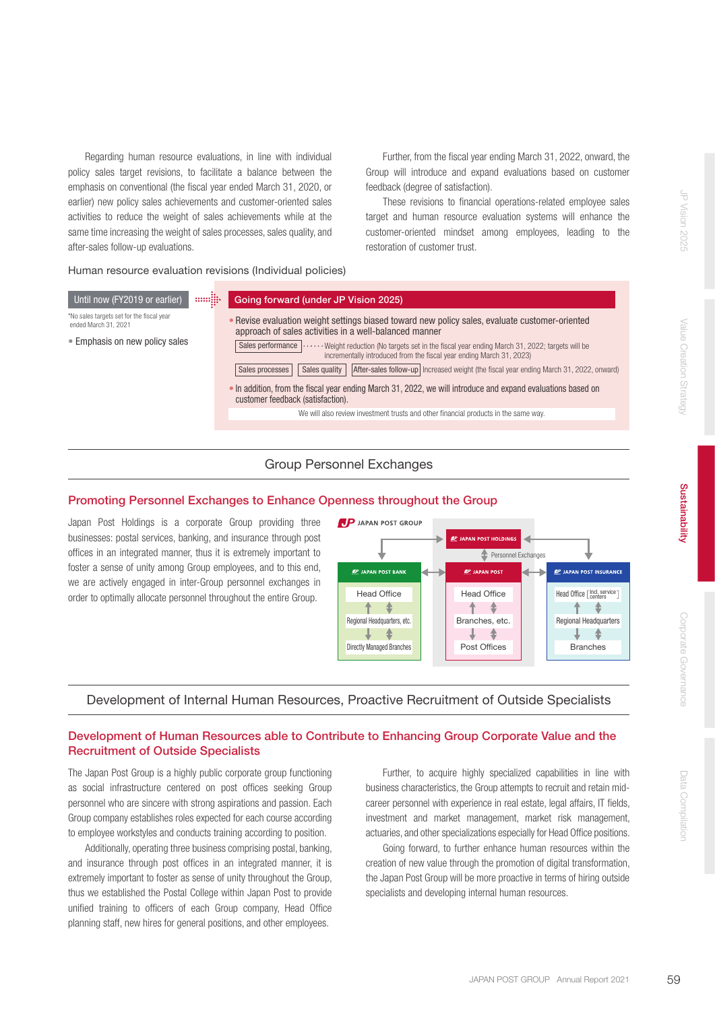Regarding human resource evaluations, in line with individual policy sales target revisions, to facilitate a balance between the emphasis on conventional (the fiscal year ended March 31, 2020, or earlier) new policy sales achievements and customer-oriented sales activities to reduce the weight of sales achievements while at the same time increasing the weight of sales processes, sales quality, and after-sales follow-up evaluations.

Human resource evaluation revisions (Individual policies)

restoration of customer trust.

• Revise evaluation weight settings biased toward new policy sales, evaluate customer-oriented approach of sales activities in a well-balanced manner \*No sales targets set for the fiscal year<br>ended March 31, 2021 • In addition, from the fiscal year ending March 31, 2022, we will introduce and expand evaluations based on customer feedback (satisfaction). Sales performance  $\cdots$  Weight reduction (No targets set in the fiscal year ending March 31, 2022; targets will be incrementally introduced from the fiscal year ending March 31, 2023) Until now (FY2019 or earlier) **Figurally Going forward (under JP Vision 2025)** • Emphasis on new policy sales Sales processes | Sales quality | After-sales follow-up | Increased weight (the fiscal year ending March 31, 2022, onward) We will also review investment trusts and other financial products in the same way.

# Group Personnel Exchanges

# Promoting Personnel Exchanges to Enhance Openness throughout the Group

Japan Post Holdings is a corporate Group providing three businesses: postal services, banking, and insurance through post offices in an integrated manner, thus it is extremely important to foster a sense of unity among Group employees, and to this end, we are actively engaged in inter-Group personnel exchanges in order to optimally allocate personnel throughout the entire Group.



Further, from the fiscal year ending March 31, 2022, onward, the Group will introduce and expand evaluations based on customer

These revisions to financial operations-related employee sales target and human resource evaluation systems will enhance the customer-oriented mindset among employees, leading to the

feedback (degree of satisfaction).

# Development of Internal Human Resources, Proactive Recruitment of Outside Specialists

# Development of Human Resources able to Contribute to Enhancing Group Corporate Value and the Recruitment of Outside Specialists

The Japan Post Group is a highly public corporate group functioning as social infrastructure centered on post offices seeking Group personnel who are sincere with strong aspirations and passion. Each Group company establishes roles expected for each course according to employee workstyles and conducts training according to position.

Additionally, operating three business comprising postal, banking, and insurance through post offices in an integrated manner, it is extremely important to foster as sense of unity throughout the Group, thus we established the Postal College within Japan Post to provide unified training to officers of each Group company, Head Office planning staff, new hires for general positions, and other employees.

Further, to acquire highly specialized capabilities in line with business characteristics, the Group attempts to recruit and retain midcareer personnel with experience in real estate, legal affairs, IT fields, investment and market management, market risk management, actuaries, and other specializations especially for Head Office positions.

Going forward, to further enhance human resources within the creation of new value through the promotion of digital transformation, the Japan Post Group will be more proactive in terms of hiring outside specialists and developing internal human resources.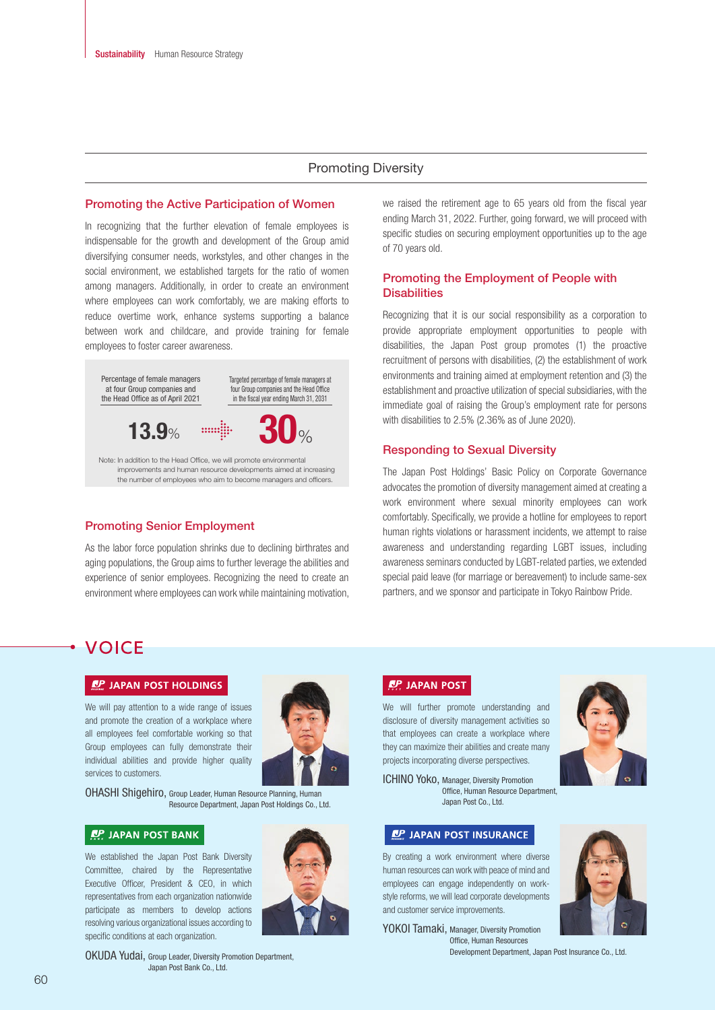# Promoting Diversity

#### Promoting the Active Participation of Women

In recognizing that the further elevation of female employees is indispensable for the growth and development of the Group amid diversifying consumer needs, workstyles, and other changes in the social environment, we established targets for the ratio of women among managers. Additionally, in order to create an environment where employees can work comfortably, we are making efforts to reduce overtime work, enhance systems supporting a balance between work and childcare, and provide training for female employees to foster career awareness.



#### Promoting Senior Employment

As the labor force population shrinks due to declining birthrates and aging populations, the Group aims to further leverage the abilities and experience of senior employees. Recognizing the need to create an environment where employees can work while maintaining motivation,

we raised the retirement age to 65 years old from the fiscal year ending March 31, 2022. Further, going forward, we will proceed with specific studies on securing employment opportunities up to the age of 70 years old.

# Promoting the Employment of People with **Disabilities**

Recognizing that it is our social responsibility as a corporation to provide appropriate employment opportunities to people with disabilities, the Japan Post group promotes (1) the proactive recruitment of persons with disabilities, (2) the establishment of work environments and training aimed at employment retention and (3) the establishment and proactive utilization of special subsidiaries, with the immediate goal of raising the Group's employment rate for persons with disabilities to 2.5% (2.36% as of June 2020).

#### Responding to Sexual Diversity

The Japan Post Holdings' Basic Policy on Corporate Governance advocates the promotion of diversity management aimed at creating a work environment where sexual minority employees can work comfortably. Specifically, we provide a hotline for employees to report human rights violations or harassment incidents, we attempt to raise awareness and understanding regarding LGBT issues, including awareness seminars conducted by LGBT-related parties, we extended special paid leave (for marriage or bereavement) to include same-sex partners, and we sponsor and participate in Tokyo Rainbow Pride.

# **VOICE**

#### **LP JAPAN POST HOLDINGS**

We will pay attention to a wide range of issues and promote the creation of a workplace where all employees feel comfortable working so that Group employees can fully demonstrate their individual abilities and provide higher quality services to customers.



OHASHI Shigehiro, Group Leader, Human Resource Planning, Human Resource Department, Japan Post Holdings Co., Ltd.

# **AP JAPAN POST BANK**

We established the Japan Post Bank Diversity Committee, chaired by the Representative Executive Officer, President & CEO, in which representatives from each organization nationwide participate as members to develop actions resolving various organizational issues according to specific conditions at each organization.



# **RP JAPAN POST**

We will further promote understanding and disclosure of diversity management activities so that employees can create a workplace where they can maximize their abilities and create many projects incorporating diverse perspectives.



ICHINO Yoko, Manager, Diversity Promotion Office, Human Resource Department Japan Post Co., Ltd.

## **LP JAPAN POST INSURANCE**

By creating a work environment where diverse human resources can work with peace of mind and employees can engage independently on workstyle reforms, we will lead corporate developments and customer service improvements.



YOKOI Tamaki, Manager, Diversity Promotion Office, Human Resources Development Department, Japan Post Insurance Co., Ltd.

OKUDA Yudai, Group Leader, Diversity Promotion Department, Japan Post Bank Co., Ltd.